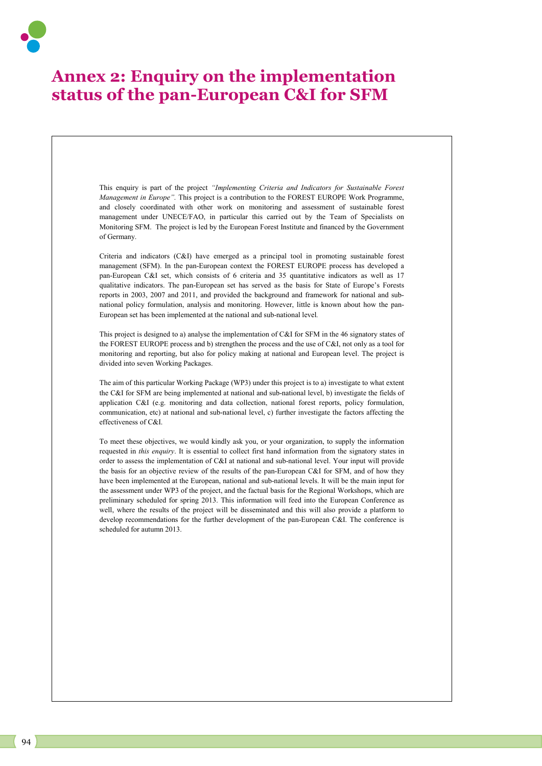# **Annex 2: Enquiry on the implementation status of the pan-European C&I for SFM**

This enquiry is part of the project *"Implementing Criteria and Indicators for Sustainable Forest Management in Europe".* This project is a contribution to the FOREST EUROPE Work Programme, and closely coordinated with other work on monitoring and assessment of sustainable forest management under UNECE/FAO, in particular this carried out by the Team of Specialists on Monitoring SFM. The project is led by the European Forest Institute and financed by the Government of Germany.

Criteria and indicators (C&I) have emerged as a principal tool in promoting sustainable forest management (SFM). In the pan-European context the FOREST EUROPE process has developed a pan-European C&I set, which consists of 6 criteria and 35 quantitative indicators as well as 17 qualitative indicators. The pan-European set has served as the basis for State of Europe's Forests reports in 2003, 2007 and 2011, and provided the background and framework for national and subnational policy formulation, analysis and monitoring. However, little is known about how the pan-European set has been implemented at the national and sub-national level*.*

This project is designed to a) analyse the implementation of C&I for SFM in the 46 signatory states of the FOREST EUROPE process and b) strengthen the process and the use of C&I, not only as a tool for monitoring and reporting, but also for policy making at national and European level. The project is divided into seven Working Packages.

The aim of this particular Working Package (WP3) under this project is to a) investigate to what extent the C&I for SFM are being implemented at national and sub-national level, b) investigate the fields of application C&I (e.g. monitoring and data collection, national forest reports, policy formulation, communication, etc) at national and sub-national level, c) further investigate the factors affecting the effectiveness of C&I.

To meet these objectives, we would kindly ask you, or your organization, to supply the information requested in *this enquiry*. It is essential to collect first hand information from the signatory states in order to assess the implementation of C&I at national and sub-national level. Your input will provide the basis for an objective review of the results of the pan-European C&I for SFM, and of how they have been implemented at the European, national and sub-national levels. It will be the main input for the assessment under WP3 of the project, and the factual basis for the Regional Workshops, which are preliminary scheduled for spring 2013. This information will feed into the European Conference as well, where the results of the project will be disseminated and this will also provide a platform to develop recommendations for the further development of the pan-European C&I. The conference is scheduled for autumn 2013.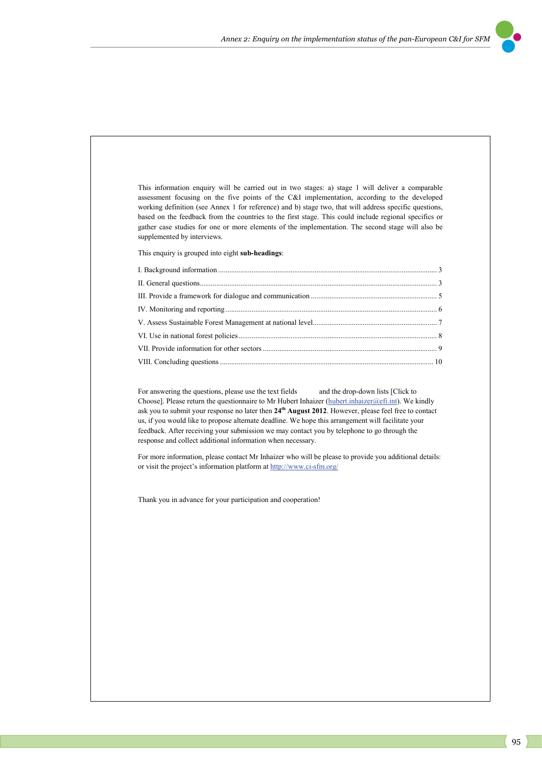

This information enquiry will be carried out in two stages: a) stage 1 will deliver a comparable assessment focusing on the five points of the C&I implementation, according to the developed working definition (see Annex 1 for reference) and b) stage two, that will address specific questions, based on the feedback from the countries to the first stage. This could include regional specifics or gather case studies for one or more elements of the implementation. The second stage will also be supplemented by interviews.

This enquiry is grouped into eight **sub-headings**:

For answering the questions, please use the text fields and the drop-down lists [Click to Choose]. Please return the questionnaire to Mr Hubert Inhaizer (hubert.inhaizer@efi.int). We kindly ask you to submit your response no later then **24th August 2012**. However, please feel free to contact us, if you would like to propose alternate deadline. We hope this arrangement will facilitate your feedback. After receiving your submission we may contact you by telephone to go through the response and collect additional information when necessary.

For more information, please contact Mr Inhaizer who will be please to provide you additional details: or visit the project's information platform at http://www.ci-sfm.org/

Thank you in advance for your participation and cooperation!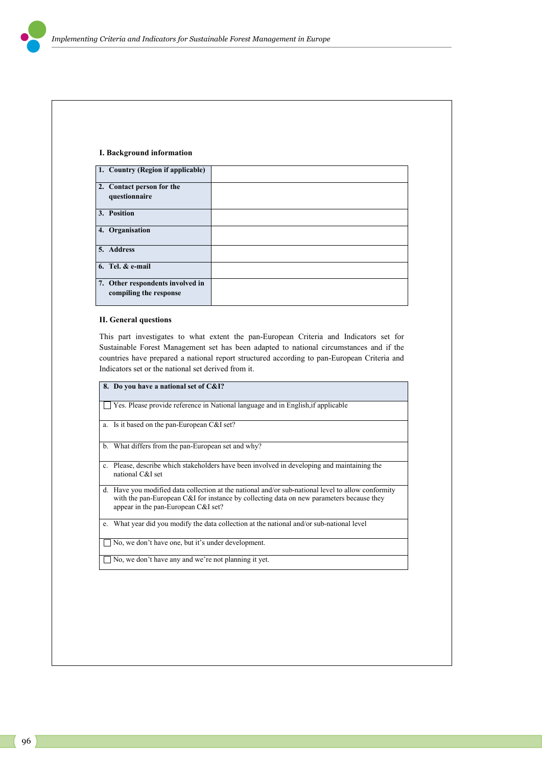### **I. Background information**

| 1. Country (Region if applicable)                          |  |
|------------------------------------------------------------|--|
| 2. Contact person for the<br>questionnaire                 |  |
| 3. Position                                                |  |
| 4. Organisation                                            |  |
| 5. Address                                                 |  |
| 6. Tel. $&$ e-mail                                         |  |
| 7. Other respondents involved in<br>compiling the response |  |

### **II. General questions**

This part investigates to what extent the pan-European Criteria and Indicators set for Sustainable Forest Management set has been adapted to national circumstances and if the countries have prepared a national report structured according to pan-European Criteria and Indicators set or the national set derived from it.

|         | 8. Do you have a national set of C&I?                                                                                                                                                                                              |
|---------|------------------------------------------------------------------------------------------------------------------------------------------------------------------------------------------------------------------------------------|
|         | Yes. Please provide reference in National language and in English, if applicable                                                                                                                                                   |
|         | a. Is it based on the pan-European C&I set?                                                                                                                                                                                        |
| b.      | What differs from the pan-European set and why?                                                                                                                                                                                    |
|         | Please, describe which stakeholders have been involved in developing and maintaining the<br>national C&I set                                                                                                                       |
| $d_{-}$ | Have you modified data collection at the national and/or sub-national level to allow conformity<br>with the pan-European C&I for instance by collecting data on new parameters because they<br>appear in the pan-European C&I set? |
| e.      | What year did you modify the data collection at the national and/or sub-national level                                                                                                                                             |
|         | No, we don't have one, but it's under development.                                                                                                                                                                                 |
|         | No, we don't have any and we're not planning it yet.                                                                                                                                                                               |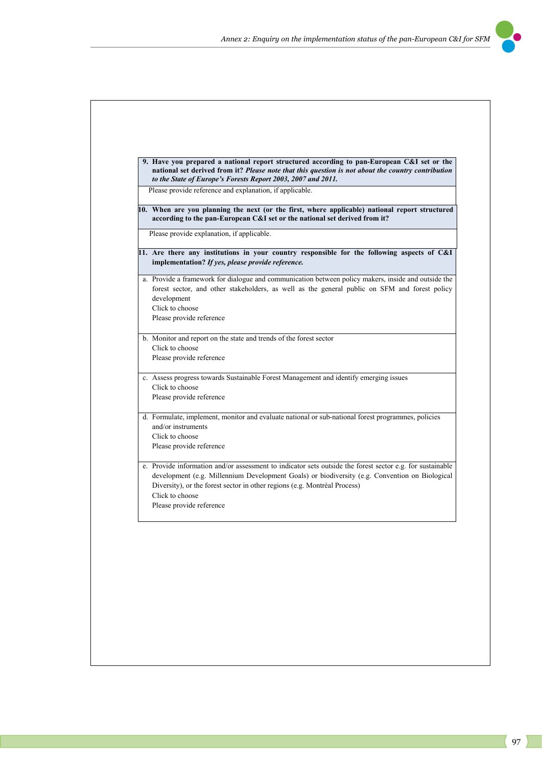

| Please provide reference and explanation, if applicable.<br>10. When are you planning the next (or the first, where applicable) national report structured                                                                                                                                                                              |
|-----------------------------------------------------------------------------------------------------------------------------------------------------------------------------------------------------------------------------------------------------------------------------------------------------------------------------------------|
| according to the pan-European C&I set or the national set derived from it?                                                                                                                                                                                                                                                              |
| Please provide explanation, if applicable.                                                                                                                                                                                                                                                                                              |
| 11. Are there any institutions in your country responsible for the following aspects of C&I<br>implementation? If yes, please provide reference.                                                                                                                                                                                        |
| a. Provide a framework for dialogue and communication between policy makers, inside and outside the<br>forest sector, and other stakeholders, as well as the general public on SFM and forest policy<br>development<br>Click to choose<br>Please provide reference                                                                      |
| b. Monitor and report on the state and trends of the forest sector                                                                                                                                                                                                                                                                      |
| Click to choose                                                                                                                                                                                                                                                                                                                         |
| Please provide reference                                                                                                                                                                                                                                                                                                                |
| c. Assess progress towards Sustainable Forest Management and identify emerging issues                                                                                                                                                                                                                                                   |
| Click to choose                                                                                                                                                                                                                                                                                                                         |
| Please provide reference                                                                                                                                                                                                                                                                                                                |
| d. Formulate, implement, monitor and evaluate national or sub-national forest programmes, policies                                                                                                                                                                                                                                      |
| and/or instruments                                                                                                                                                                                                                                                                                                                      |
| Click to choose<br>Please provide reference                                                                                                                                                                                                                                                                                             |
|                                                                                                                                                                                                                                                                                                                                         |
| e. Provide information and/or assessment to indicator sets outside the forest sector e.g. for sustainable<br>development (e.g. Millennium Development Goals) or biodiversity (e.g. Convention on Biological<br>Diversity), or the forest sector in other regions (e.g. Montréal Process)<br>Click to choose<br>Please provide reference |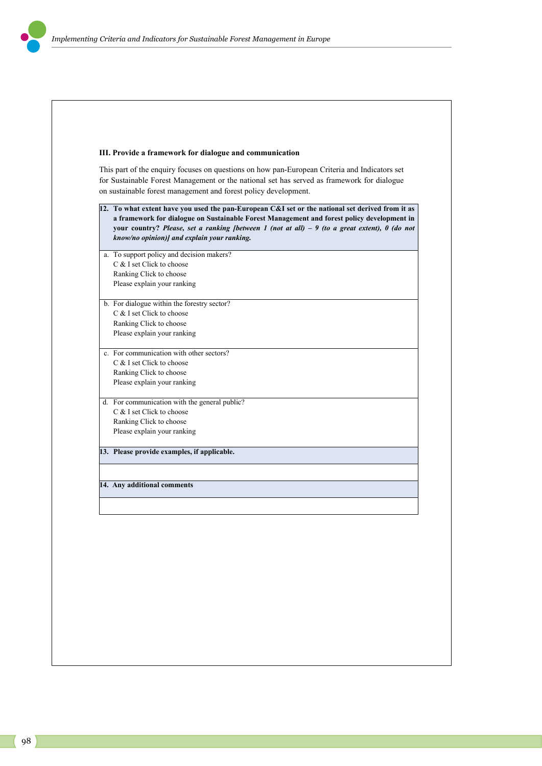## **III. Provide a framework for dialogue and communication**

This part of the enquiry focuses on questions on how pan-European Criteria and Indicators set for Sustainable Forest Management or the national set has served as framework for dialogue on sustainable forest management and forest policy development.

| a. To support policy and decision makers?     |
|-----------------------------------------------|
| C & I set Click to choose                     |
| Ranking Click to choose                       |
| Please explain your ranking                   |
| b. For dialogue within the forestry sector?   |
| $C$ & I set Click to choose                   |
| Ranking Click to choose                       |
| Please explain your ranking                   |
| c. For communication with other sectors?      |
| C & I set Click to choose                     |
| Ranking Click to choose                       |
| Please explain your ranking                   |
| d. For communication with the general public? |
| C & I set Click to choose                     |
| Ranking Click to choose                       |
| Please explain your ranking                   |
| 13. Please provide examples, if applicable.   |
|                                               |
|                                               |
| 14. Any additional comments                   |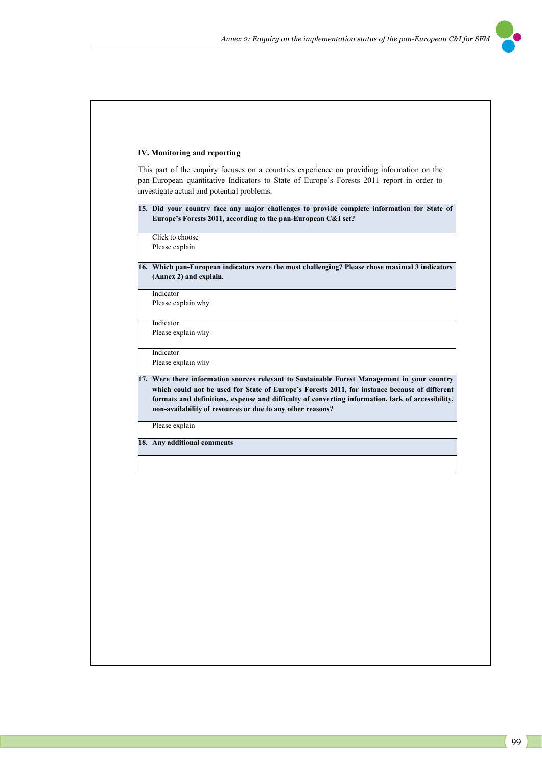### **IV. Monitoring and reporting**

This part of the enquiry focuses on a countries experience on providing information on the pan-European quantitative Indicators to State of Europe's Forests 2011 report in order to investigate actual and potential problems.

**15. Did your country face any major challenges to provide complete information for State of Europe's Forests 2011, according to the pan-European C&I set?** 

Click to choose Please explain

**16. Which pan-European indicators were the most challenging? Please chose maximal 3 indicators (Annex 2) and explain.** 

Indicator

Please explain why

Indicator

Please explain why Indicator

Please explain why

**17. Were there information sources relevant to Sustainable Forest Management in your country which could not be used for State of Europe's Forests 2011, for instance because of different formats and definitions, expense and difficulty of converting information, lack of accessibility, non-availability of resources or due to any other reasons?** 

Please explain

**18. Any additional comments**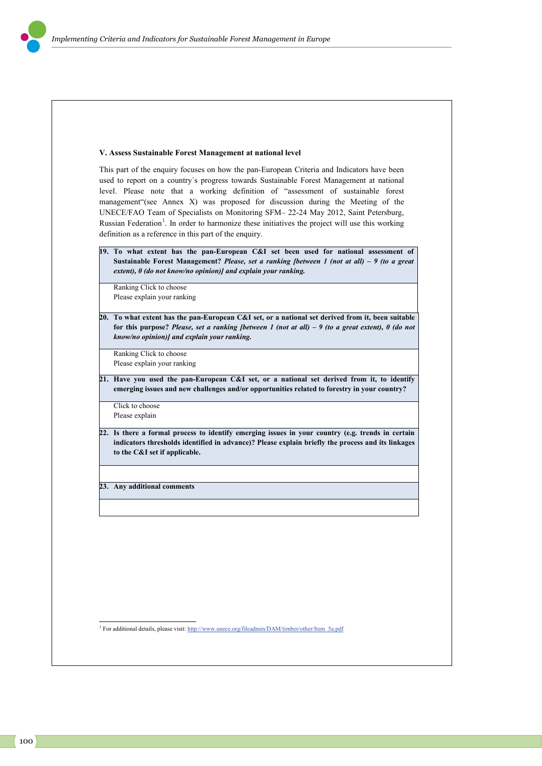### **V. Assess Sustainable Forest Management at national level**

This part of the enquiry focuses on how the pan-European Criteria and Indicators have been used to report on a country´s progress towards Sustainable Forest Management at national level. Please note that a working definition of "assessment of sustainable forest management"(see Annex X) was proposed for discussion during the Meeting of the UNECE/FAO Team of Specialists on Monitoring SFM– 22-24 May 2012, Saint Petersburg, Russian Federation<sup>1</sup>. In order to harmonize these initiatives the project will use this working definition as a reference in this part of the enquiry.

**19. To what extent has the pan-European C&I set been used for national assessment of Sustainable Forest Management?** *Please, set a ranking [between 1 (not at all) – 9 (to a great extent), 0 (do not know/no opinion)] and explain your ranking.*

Ranking Click to choose Please explain your ranking

**20. To what extent has the pan-European C&I set, or a national set derived from it, been suitable for this purpose?** *Please, set a ranking [between 1 (not at all) – 9 (to a great extent), 0 (do not know/no opinion)] and explain your ranking.*

Ranking Click to choose Please explain your ranking

**21. Have you used the pan-European C&I set, or a national set derived from it, to identify emerging issues and new challenges and/or opportunities related to forestry in your country?**

Click to choose Please explain

**22. Is there a formal process to identify emerging issues in your country (e.g. trends in certain indicators thresholds identified in advance)? Please explain briefly the process and its linkages to the C&I set if applicable.** 

**23. Any additional comments**

.

<sup>1</sup> For additional details, please visit: http://www.unece.org/fileadmin/DAM/timber/other/Item\_5a.pdf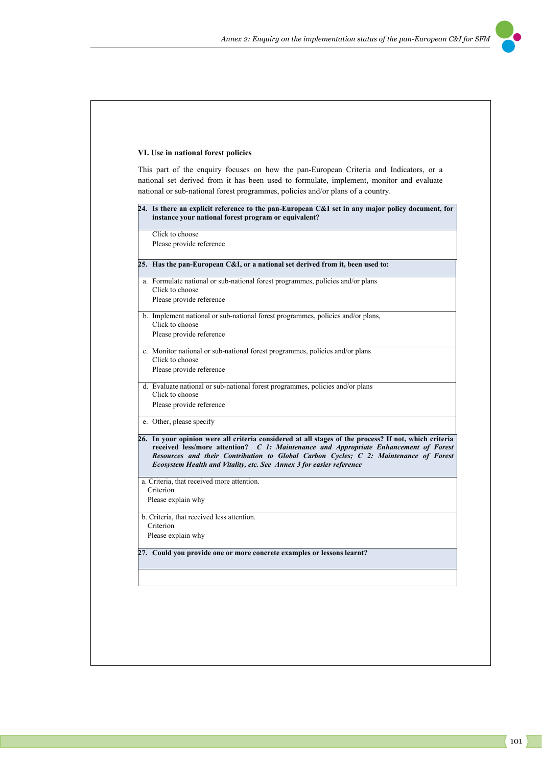

### **VI. Use in national forest policies**

This part of the enquiry focuses on how the pan-European Criteria and Indicators, or a national set derived from it has been used to formulate, implement, monitor and evaluate national or sub-national forest programmes, policies and/or plans of a country.

| Click to choose                                                                                                                                                                                                                                                                       |
|---------------------------------------------------------------------------------------------------------------------------------------------------------------------------------------------------------------------------------------------------------------------------------------|
| Please provide reference                                                                                                                                                                                                                                                              |
|                                                                                                                                                                                                                                                                                       |
| 25. Has the pan-European C&I, or a national set derived from it, been used to:                                                                                                                                                                                                        |
| a. Formulate national or sub-national forest programmes, policies and/or plans<br>Click to choose                                                                                                                                                                                     |
| Please provide reference                                                                                                                                                                                                                                                              |
| b. Implement national or sub-national forest programmes, policies and/or plans,<br>Click to choose                                                                                                                                                                                    |
| Please provide reference                                                                                                                                                                                                                                                              |
| c. Monitor national or sub-national forest programmes, policies and/or plans<br>Click to choose                                                                                                                                                                                       |
| Please provide reference                                                                                                                                                                                                                                                              |
| d. Evaluate national or sub-national forest programmes, policies and/or plans<br>Click to choose                                                                                                                                                                                      |
|                                                                                                                                                                                                                                                                                       |
|                                                                                                                                                                                                                                                                                       |
| Please provide reference                                                                                                                                                                                                                                                              |
| e. Other, please specify                                                                                                                                                                                                                                                              |
| Ecosystem Health and Vitality, etc. See Annex 3 for easier reference                                                                                                                                                                                                                  |
| a. Criteria, that received more attention.                                                                                                                                                                                                                                            |
| Criterion                                                                                                                                                                                                                                                                             |
| Please explain why                                                                                                                                                                                                                                                                    |
| b. Criteria, that received less attention.                                                                                                                                                                                                                                            |
| Criterion                                                                                                                                                                                                                                                                             |
| Please explain why                                                                                                                                                                                                                                                                    |
| 26. In your opinion were all criteria considered at all stages of the process? If not, which criteria<br>received less/more attention? C 1: Maintenance and Appropriate Enhancement of Forest<br>Resources and their Contribution to Global Carbon Cycles; C 2: Maintenance of Forest |
| 27. Could you provide one or more concrete examples or lessons learnt?                                                                                                                                                                                                                |
|                                                                                                                                                                                                                                                                                       |
|                                                                                                                                                                                                                                                                                       |
|                                                                                                                                                                                                                                                                                       |
|                                                                                                                                                                                                                                                                                       |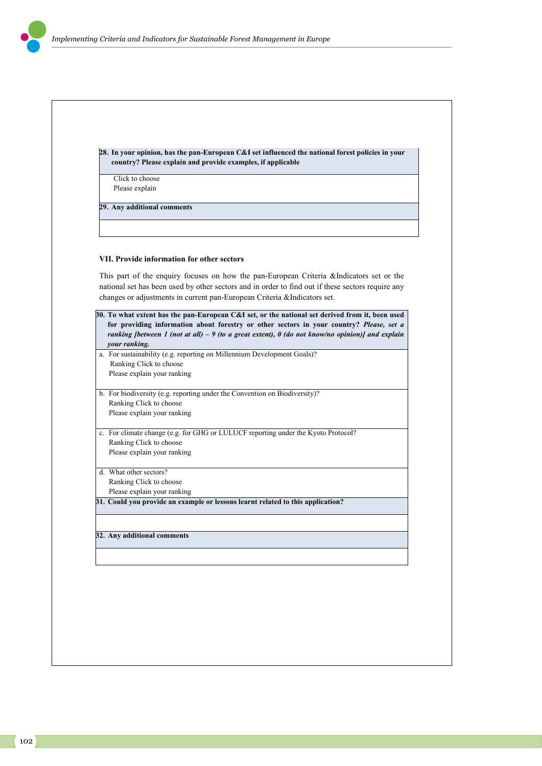| Click to choose                                                                                                                                                                                                                                                                                  |
|--------------------------------------------------------------------------------------------------------------------------------------------------------------------------------------------------------------------------------------------------------------------------------------------------|
| Please explain                                                                                                                                                                                                                                                                                   |
| 29. Any additional comments                                                                                                                                                                                                                                                                      |
|                                                                                                                                                                                                                                                                                                  |
| <b>VII. Provide information for other sectors</b>                                                                                                                                                                                                                                                |
| This part of the enquiry focuses on how the pan-European Criteria &Indicators set or the<br>national set has been used by other sectors and in order to find out if these sectors require any                                                                                                    |
| changes or adjustments in current pan-European Criteria &Indicators set.                                                                                                                                                                                                                         |
| 30. To what extent has the pan-European C&I set, or the national set derived from it, been used<br>for providing information about forestry or other sectors in your country? Please, set a<br>ranking [between 1 (not at all) $-9$ (to a great extent), 0 (do not know/no opinion)] and explain |
| your ranking.<br>a. For sustainability (e.g. reporting on Millennium Development Goals)?                                                                                                                                                                                                         |
| Ranking Click to choose                                                                                                                                                                                                                                                                          |
| Please explain your ranking                                                                                                                                                                                                                                                                      |
| b. For biodiversity (e.g. reporting under the Convention on Biodiversity)?                                                                                                                                                                                                                       |
| Ranking Click to choose                                                                                                                                                                                                                                                                          |
| Please explain your ranking                                                                                                                                                                                                                                                                      |
| c. For climate change (e.g. for GHG or LULUCF reporting under the Kyoto Protocol?                                                                                                                                                                                                                |
| Ranking Click to choose                                                                                                                                                                                                                                                                          |
| Please explain your ranking                                                                                                                                                                                                                                                                      |
| d. What other sectors?                                                                                                                                                                                                                                                                           |
| Ranking Click to choose                                                                                                                                                                                                                                                                          |
| Please explain your ranking<br>31. Could you provide an example or lessons learnt related to this application?                                                                                                                                                                                   |
|                                                                                                                                                                                                                                                                                                  |
| 32. Any additional comments                                                                                                                                                                                                                                                                      |
|                                                                                                                                                                                                                                                                                                  |
|                                                                                                                                                                                                                                                                                                  |
|                                                                                                                                                                                                                                                                                                  |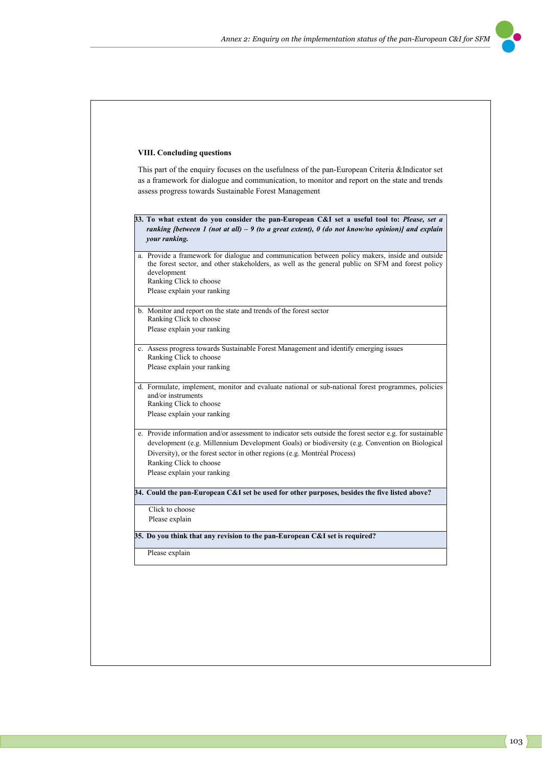

## **VIII. Concluding questions**

This part of the enquiry focuses on the usefulness of the pan-European Criteria &Indicator set as a framework for dialogue and communication, to monitor and report on the state and trends assess progress towards Sustainable Forest Management

- **33. To what extent do you consider the pan-European C&I set a useful tool to:** *Please, set a ranking [between 1 (not at all) – 9 (to a great extent), 0 (do not know/no opinion)] and explain your ranking.*
- a. Provide a framework for dialogue and communication between policy makers, inside and outside the forest sector, and other stakeholders, as well as the general public on SFM and forest policy development Ranking Click to choose
	- Please explain your ranking
- b. Monitor and report on the state and trends of the forest sector Ranking Click to choose Please explain your ranking
- c. Assess progress towards Sustainable Forest Management and identify emerging issues Ranking Click to choose Please explain your ranking
- d. Formulate, implement, monitor and evaluate national or sub-national forest programmes, policies and/or instruments Ranking Click to choose
	- Please explain your ranking
- e. Provide information and/or assessment to indicator sets outside the forest sector e.g. for sustainable development (e.g. Millennium Development Goals) or biodiversity (e.g. Convention on Biological Diversity), or the forest sector in other regions (e.g. Montréal Process) Ranking Click to choose Please explain your ranking

**34. Could the pan-European C&I set be used for other purposes, besides the five listed above?** 

Click to choose Please explain

**35. Do you think that any revision to the pan-European C&I set is required?** 

Please explain